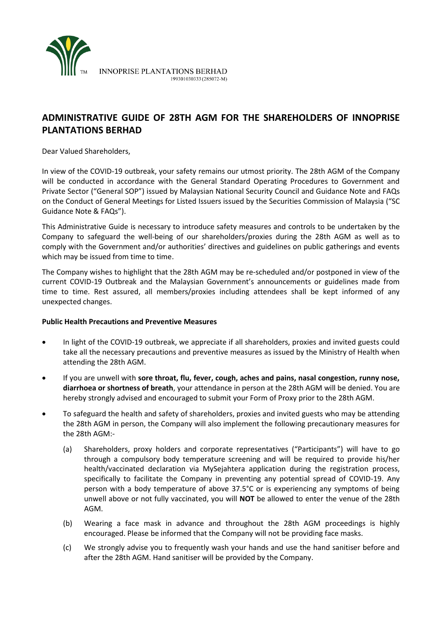

# **ADMINISTRATIVE GUIDE OF 28TH AGM FOR THE SHAREHOLDERS OF INNOPRISE PLANTATIONS BERHAD**

Dear Valued Shareholders,

In view of the COVID-19 outbreak, your safety remains our utmost priority. The 28th AGM of the Company will be conducted in accordance with the General Standard Operating Procedures to Government and Private Sector ("General SOP") issued by Malaysian National Security Council and Guidance Note and FAQs on the Conduct of General Meetings for Listed Issuers issued by the Securities Commission of Malaysia ("SC Guidance Note & FAQs").

This Administrative Guide is necessary to introduce safety measures and controls to be undertaken by the Company to safeguard the well-being of our shareholders/proxies during the 28th AGM as well as to comply with the Government and/or authorities' directives and guidelines on public gatherings and events which may be issued from time to time.

The Company wishes to highlight that the 28th AGM may be re-scheduled and/or postponed in view of the current COVID-19 Outbreak and the Malaysian Government's announcements or guidelines made from time to time. Rest assured, all members/proxies including attendees shall be kept informed of any unexpected changes.

#### **Public Health Precautions and Preventive Measures**

- In light of the COVID-19 outbreak, we appreciate if all shareholders, proxies and invited guests could take all the necessary precautions and preventive measures as issued by the Ministry of Health when attending the 28th AGM.
- If you are unwell with **sore throat, flu, fever, cough, aches and pains, nasal congestion, runny nose, diarrhoea or shortness of breath**, your attendance in person at the 28th AGM will be denied. You are hereby strongly advised and encouraged to submit your Form of Proxy prior to the 28th AGM.
- To safeguard the health and safety of shareholders, proxies and invited guests who may be attending the 28th AGM in person, the Company will also implement the following precautionary measures for the 28th AGM:-
	- (a) Shareholders, proxy holders and corporate representatives ("Participants") will have to go through a compulsory body temperature screening and will be required to provide his/her health/vaccinated declaration via MySejahtera application during the registration process, specifically to facilitate the Company in preventing any potential spread of COVID-19. Any person with a body temperature of above 37.5°C or is experiencing any symptoms of being unwell above or not fully vaccinated, you will **NOT** be allowed to enter the venue of the 28th AGM.
	- (b) Wearing a face mask in advance and throughout the 28th AGM proceedings is highly encouraged. Please be informed that the Company will not be providing face masks.
	- (c) We strongly advise you to frequently wash your hands and use the hand sanitiser before and after the 28th AGM. Hand sanitiser will be provided by the Company.